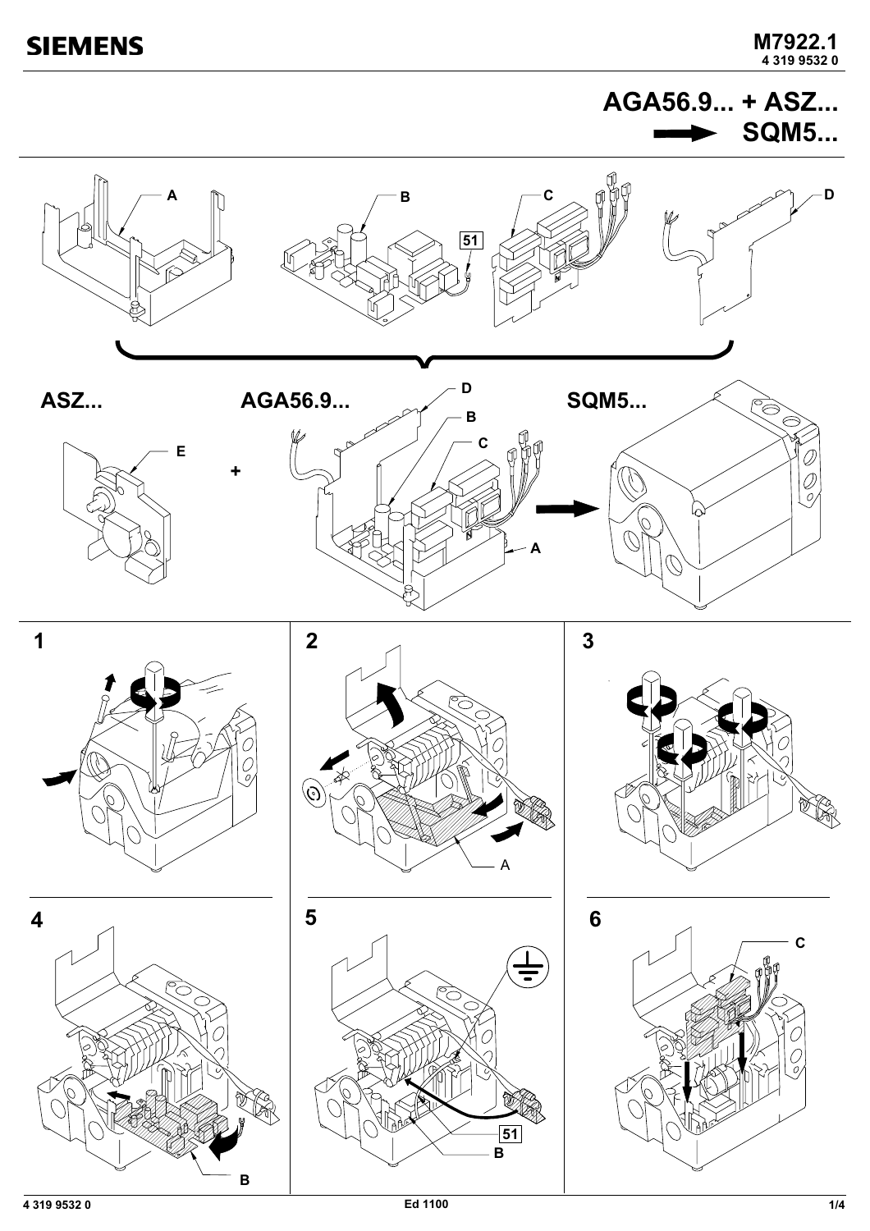AGA56.9... + ASZ... **SQM5...** 

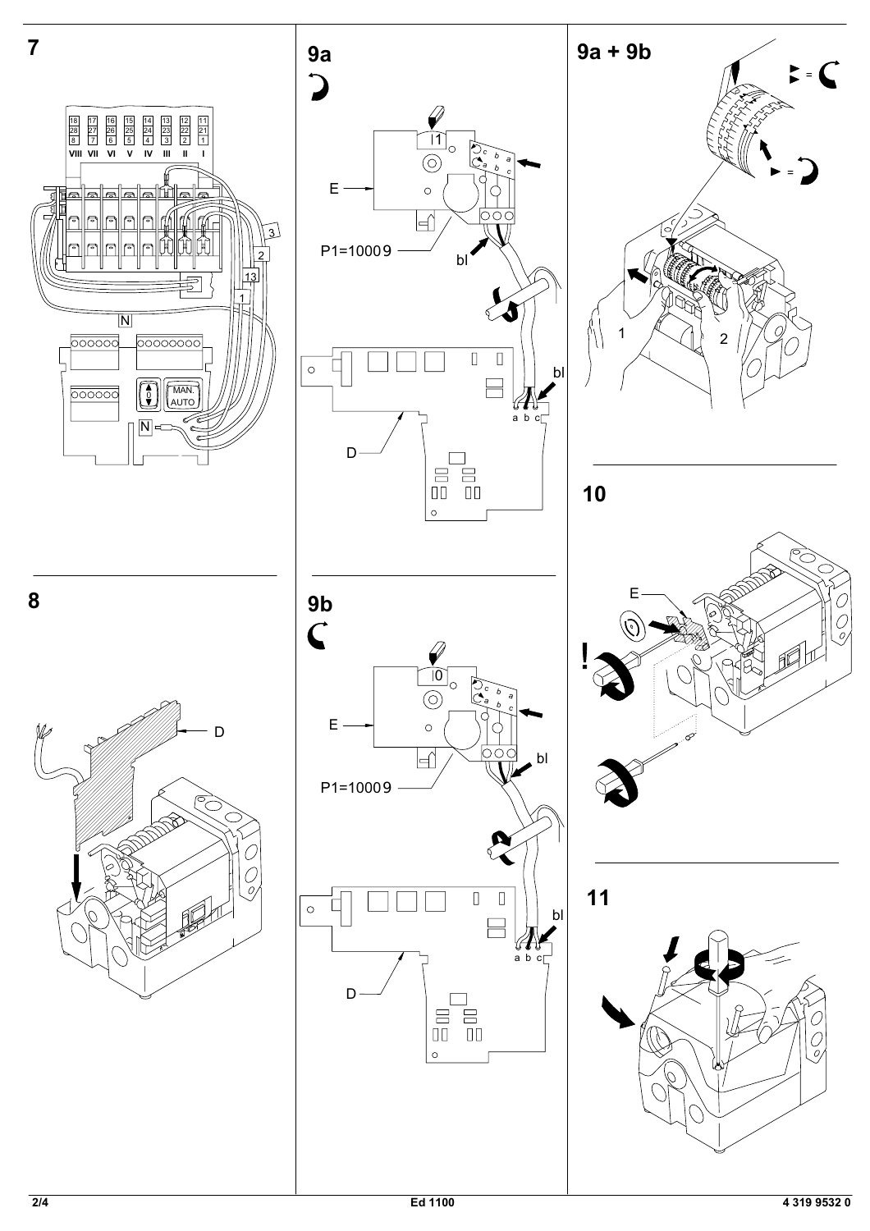









10



11



 $\circ$ 

8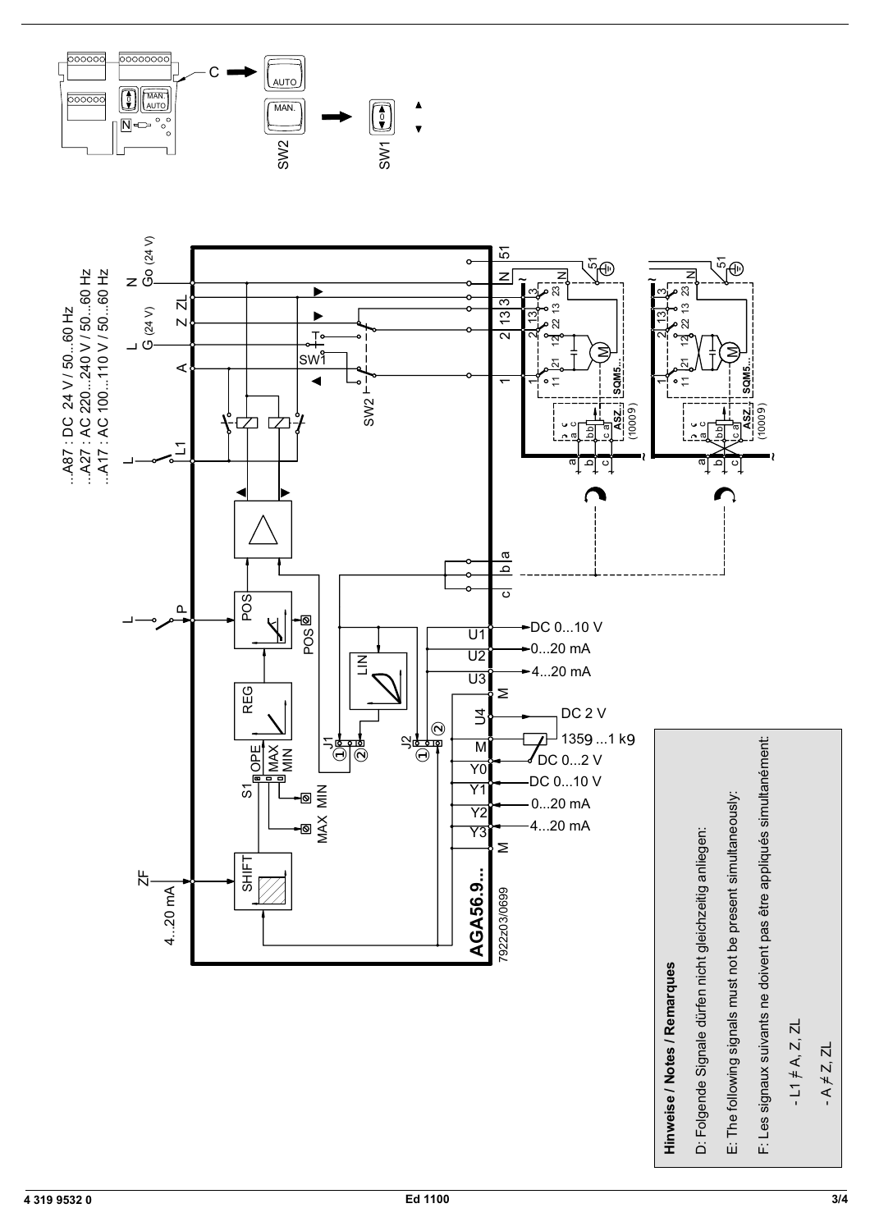